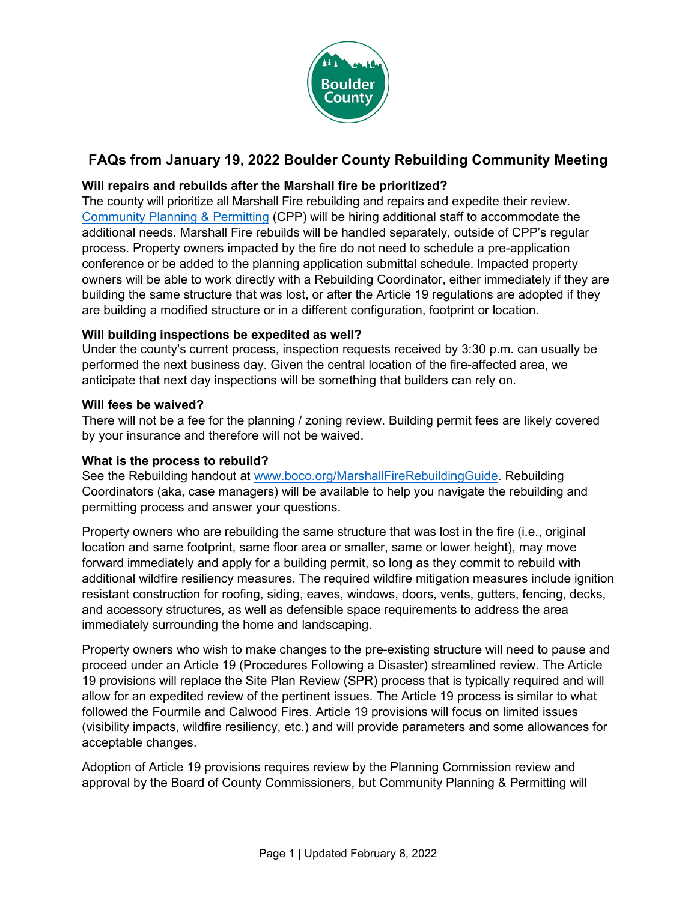

# **FAQs from January 19, 2022 Boulder County Rebuilding Community Meeting**

## **Will repairs and rebuilds after the Marshall fire be prioritized?**

The county will prioritize all Marshall Fire rebuilding and repairs and expedite their review. [Community Planning & Permitting](https://www.boco.org/CPP) (CPP) will be hiring additional staff to accommodate the additional needs. Marshall Fire rebuilds will be handled separately, outside of CPP's regular process. Property owners impacted by the fire do not need to schedule a pre-application conference or be added to the planning application submittal schedule. Impacted property owners will be able to work directly with a Rebuilding Coordinator, either immediately if they are building the same structure that was lost, or after the Article 19 regulations are adopted if they are building a modified structure or in a different configuration, footprint or location.

### **Will building inspections be expedited as well?**

Under the county's current process, inspection requests received by 3:30 p.m. can usually be performed the next business day. Given the central location of the fire-affected area, we anticipate that next day inspections will be something that builders can rely on.

#### **Will fees be waived?**

There will not be a fee for the planning / zoning review. Building permit fees are likely covered by your insurance and therefore will not be waived.

#### **What is the process to rebuild?**

See the Rebuilding handout at [www.boco.org/MarshallFireRebuildingGuide.](https://www.boco.org/MarshallFireRebuildingGuide) Rebuilding Coordinators (aka, case managers) will be available to help you navigate the rebuilding and permitting process and answer your questions.

Property owners who are rebuilding the same structure that was lost in the fire (i.e., original location and same footprint, same floor area or smaller, same or lower height), may move forward immediately and apply for a building permit, so long as they commit to rebuild with additional wildfire resiliency measures. The required wildfire mitigation measures include ignition resistant construction for roofing, siding, eaves, windows, doors, vents, gutters, fencing, decks, and accessory structures, as well as defensible space requirements to address the area immediately surrounding the home and landscaping.

Property owners who wish to make changes to the pre-existing structure will need to pause and proceed under an Article 19 (Procedures Following a Disaster) streamlined review. The Article 19 provisions will replace the Site Plan Review (SPR) process that is typically required and will allow for an expedited review of the pertinent issues. The Article 19 process is similar to what followed the Fourmile and Calwood Fires. Article 19 provisions will focus on limited issues (visibility impacts, wildfire resiliency, etc.) and will provide parameters and some allowances for acceptable changes.

Adoption of Article 19 provisions requires review by the Planning Commission review and approval by the Board of County Commissioners, but Community Planning & Permitting will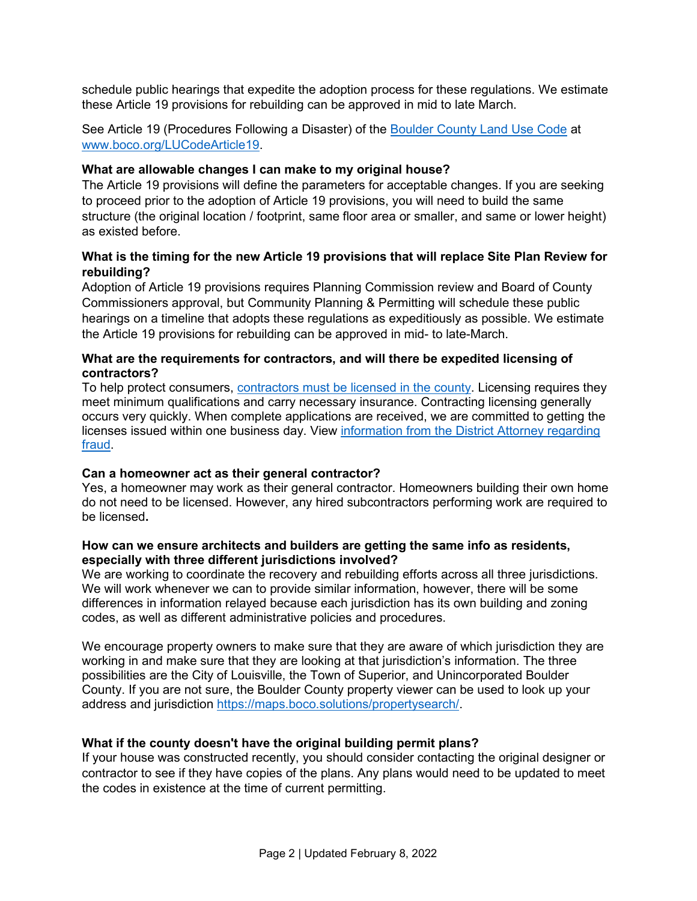schedule public hearings that expedite the adoption process for these regulations. We estimate these Article 19 provisions for rebuilding can be approved in mid to late March.

See Article 19 (Procedures Following a Disaster) of the [Boulder County Land Use Code](https://boco.org/LandUseCode) at [www.boco.org/LUCodeArticle19.](https://www.boco.org/LUCodeArticle19)

#### **What are allowable changes I can make to my original house?**

The Article 19 provisions will define the parameters for acceptable changes. If you are seeking to proceed prior to the adoption of Article 19 provisions, you will need to build the same structure (the original location / footprint, same floor area or smaller, and same or lower height) as existed before.

#### **What is the timing for the new Article 19 provisions that will replace Site Plan Review for rebuilding?**

Adoption of Article 19 provisions requires Planning Commission review and Board of County Commissioners approval, but Community Planning & Permitting will schedule these public hearings on a timeline that adopts these regulations as expeditiously as possible. We estimate the Article 19 provisions for rebuilding can be approved in mid- to late-March.

#### **What are the requirements for contractors, and will there be expedited licensing of contractors?**

To help protect consumers, [contractors must be licensed in the county.](https://www.bouldercounty.org/property-and-land/land-use/building/licensed-building-contractors/) Licensing requires they meet minimum qualifications and carry necessary insurance. Contracting licensing generally occurs very quickly. When complete applications are received, we are committed to getting the licenses issued within one business day. View information from the District Attorney regarding [fraud.](https://www.bouldercounty.org/disasters/wildfires/marshall/#1642624623930-f9fae1c1-f3fd)

#### **Can a homeowner act as their general contractor?**

Yes, a homeowner may work as their general contractor. Homeowners building their own home do not need to be licensed. However, any hired subcontractors performing work are required to be licensed**.** 

#### **How can we ensure architects and builders are getting the same info as residents, especially with three different jurisdictions involved?**

We are working to coordinate the recovery and rebuilding efforts across all three jurisdictions. We will work whenever we can to provide similar information, however, there will be some differences in information relayed because each jurisdiction has its own building and zoning codes, as well as different administrative policies and procedures.

We encourage property owners to make sure that they are aware of which jurisdiction they are working in and make sure that they are looking at that jurisdiction's information. The three possibilities are the City of Louisville, the Town of Superior, and Unincorporated Boulder County. If you are not sure, the Boulder County property viewer can be used to look up your address and jurisdiction [https://maps.boco.solutions/propertysearch/.](https://maps.boco.solutions/propertysearch/)

#### **What if the county doesn't have the original building permit plans?**

If your house was constructed recently, you should consider contacting the original designer or contractor to see if they have copies of the plans. Any plans would need to be updated to meet the codes in existence at the time of current permitting.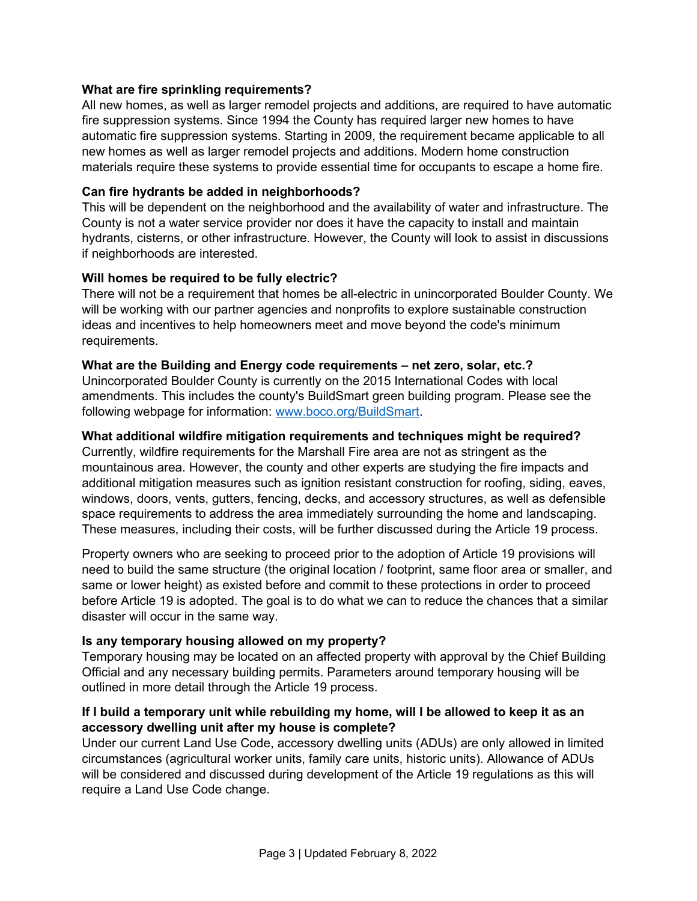#### **What are fire sprinkling requirements?**

All new homes, as well as larger remodel projects and additions, are required to have automatic fire suppression systems. Since 1994 the County has required larger new homes to have automatic fire suppression systems. Starting in 2009, the requirement became applicable to all new homes as well as larger remodel projects and additions. Modern home construction materials require these systems to provide essential time for occupants to escape a home fire.

#### **Can fire hydrants be added in neighborhoods?**

This will be dependent on the neighborhood and the availability of water and infrastructure. The County is not a water service provider nor does it have the capacity to install and maintain hydrants, cisterns, or other infrastructure. However, the County will look to assist in discussions if neighborhoods are interested.

#### **Will homes be required to be fully electric?**

There will not be a requirement that homes be all-electric in unincorporated Boulder County. We will be working with our partner agencies and nonprofits to explore sustainable construction ideas and incentives to help homeowners meet and move beyond the code's minimum requirements.

#### **What are the Building and Energy code requirements – net zero, solar, etc.?**

Unincorporated Boulder County is currently on the 2015 International Codes with local amendments. This includes the county's BuildSmart green building program. Please see the following webpage for information: [www.boco.org/BuildSmart.](https://www.boco.org/BuildSmart)

#### **What additional wildfire mitigation requirements and techniques might be required?**

Currently, wildfire requirements for the Marshall Fire area are not as stringent as the mountainous area. However, the county and other experts are studying the fire impacts and additional mitigation measures such as ignition resistant construction for roofing, siding, eaves, windows, doors, vents, gutters, fencing, decks, and accessory structures, as well as defensible space requirements to address the area immediately surrounding the home and landscaping. These measures, including their costs, will be further discussed during the Article 19 process.

Property owners who are seeking to proceed prior to the adoption of Article 19 provisions will need to build the same structure (the original location / footprint, same floor area or smaller, and same or lower height) as existed before and commit to these protections in order to proceed before Article 19 is adopted. The goal is to do what we can to reduce the chances that a similar disaster will occur in the same way.

#### **Is any temporary housing allowed on my property?**

Temporary housing may be located on an affected property with approval by the Chief Building Official and any necessary building permits. Parameters around temporary housing will be outlined in more detail through the Article 19 process.

#### **If I build a temporary unit while rebuilding my home, will I be allowed to keep it as an accessory dwelling unit after my house is complete?**

Under our current Land Use Code, accessory dwelling units (ADUs) are only allowed in limited circumstances (agricultural worker units, family care units, historic units). Allowance of ADUs will be considered and discussed during development of the Article 19 regulations as this will require a Land Use Code change.